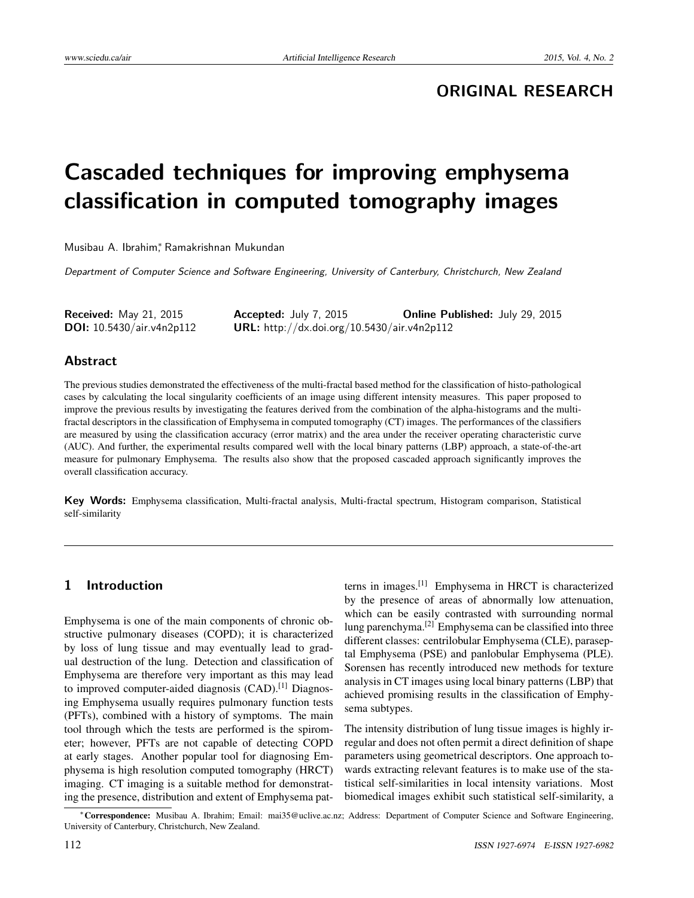## **ORIGINAL RESEARCH**

# **Cascaded techniques for improving emphysema classification in computed tomography images**

Musibau A. Ibrahim<sup>∗</sup> , Ramakrishnan Mukundan

Department of Computer Science and Software Engineering, University of Canterbury, Christchurch, New Zealand

| <b>Received:</b> May 21, 2015      | <b>Accepted:</b> July 7, 2015               | <b>Online Published: July 29, 2015</b> |
|------------------------------------|---------------------------------------------|----------------------------------------|
| <b>DOI:</b> $10.5430/air.v4n2p112$ | URL: http://dx.doi.org/10.5430/air.v4n2p112 |                                        |

### **Abstract**

The previous studies demonstrated the effectiveness of the multi-fractal based method for the classification of histo-pathological cases by calculating the local singularity coefficients of an image using different intensity measures. This paper proposed to improve the previous results by investigating the features derived from the combination of the alpha-histograms and the multifractal descriptors in the classification of Emphysema in computed tomography (CT) images. The performances of the classifiers are measured by using the classification accuracy (error matrix) and the area under the receiver operating characteristic curve (AUC). And further, the experimental results compared well with the local binary patterns (LBP) approach, a state-of-the-art measure for pulmonary Emphysema. The results also show that the proposed cascaded approach significantly improves the overall classification accuracy.

**Key Words:** Emphysema classification, Multi-fractal analysis, Multi-fractal spectrum, Histogram comparison, Statistical self-similarity

## **1 Introduction**

Emphysema is one of the main components of chronic obstructive pulmonary diseases (COPD); it is characterized by loss of lung tissue and may eventually lead to gradual destruction of the lung. Detection and classification of Emphysema are therefore very important as this may lead to improved computer-aided diagnosis (CAD).<sup>[\[1\]](#page-5-0)</sup> Diagnosing Emphysema usually requires pulmonary function tests (PFTs), combined with a history of symptoms. The main tool through which the tests are performed is the spirometer; however, PFTs are not capable of detecting COPD at early stages. Another popular tool for diagnosing Emphysema is high resolution computed tomography (HRCT) imaging. CT imaging is a suitable method for demonstrating the presence, distribution and extent of Emphysema patterns in images.[\[1\]](#page-5-0) Emphysema in HRCT is characterized by the presence of areas of abnormally low attenuation, which can be easily contrasted with surrounding normal lung parenchyma.[\[2\]](#page-5-1) Emphysema can be classified into three different classes: centrilobular Emphysema (CLE), paraseptal Emphysema (PSE) and panlobular Emphysema (PLE). Sorensen has recently introduced new methods for texture analysis in CT images using local binary patterns (LBP) that achieved promising results in the classification of Emphysema subtypes.

The intensity distribution of lung tissue images is highly irregular and does not often permit a direct definition of shape parameters using geometrical descriptors. One approach towards extracting relevant features is to make use of the statistical self-similarities in local intensity variations. Most biomedical images exhibit such statistical self-similarity, a

<sup>∗</sup>Correspondence: Musibau A. Ibrahim; Email: mai35@uclive.ac.nz; Address: Department of Computer Science and Software Engineering, University of Canterbury, Christchurch, New Zealand.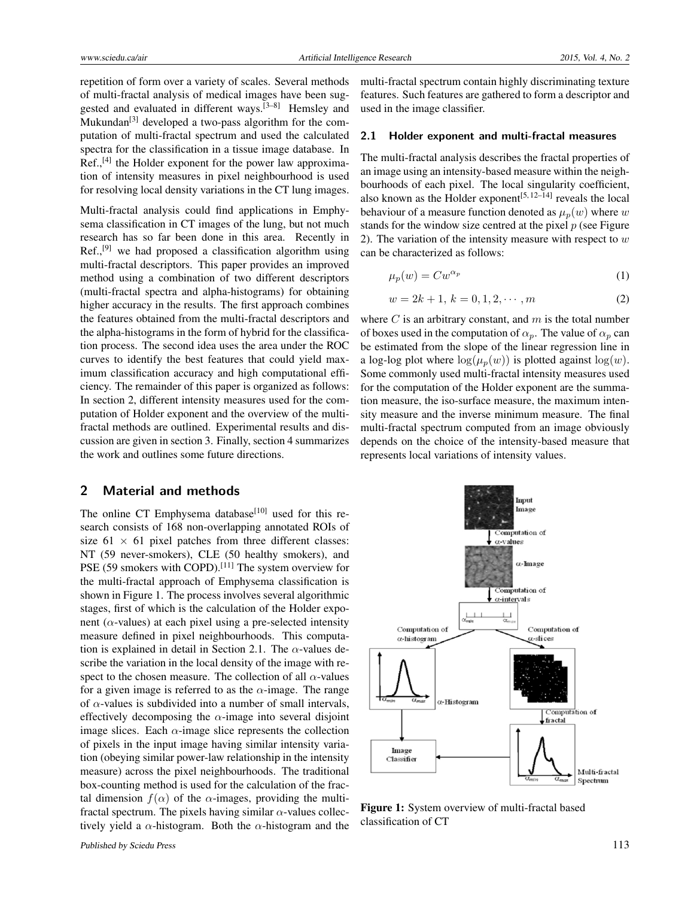repetition of form over a variety of scales. Several methods of multi-fractal analysis of medical images have been suggested and evaluated in different ways.[\[3](#page-5-2)[–8\]](#page-6-0) Hemsley and Mukundan<sup>[\[3\]](#page-5-2)</sup> developed a two-pass algorithm for the computation of multi-fractal spectrum and used the calculated spectra for the classification in a tissue image database. In Ref.,<sup>[\[4\]](#page-5-3)</sup> the Holder exponent for the power law approximation of intensity measures in pixel neighbourhood is used for resolving local density variations in the CT lung images.

Multi-fractal analysis could find applications in Emphysema classification in CT images of the lung, but not much research has so far been done in this area. Recently in  $Ref., [9]$  $Ref., [9]$  we had proposed a classification algorithm using multi-fractal descriptors. This paper provides an improved method using a combination of two different descriptors (multi-fractal spectra and alpha-histograms) for obtaining higher accuracy in the results. The first approach combines the features obtained from the multi-fractal descriptors and the alpha-histograms in the form of hybrid for the classification process. The second idea uses the area under the ROC curves to identify the best features that could yield maximum classification accuracy and high computational efficiency. The remainder of this paper is organized as follows: In section 2, different intensity measures used for the computation of Holder exponent and the overview of the multifractal methods are outlined. Experimental results and discussion are given in section 3. Finally, section 4 summarizes the work and outlines some future directions.

#### **2 Material and methods**

The online CT Emphysema database<sup>[\[10\]](#page-6-2)</sup> used for this research consists of 168 non-overlapping annotated ROIs of size  $61 \times 61$  pixel patches from three different classes: NT (59 never-smokers), CLE (50 healthy smokers), and PSE (59 smokers with COPD).<sup>[\[11\]](#page-6-3)</sup> The system overview for the multi-fractal approach of Emphysema classification is shown in Figure 1. The process involves several algorithmic stages, first of which is the calculation of the Holder exponent ( $\alpha$ -values) at each pixel using a pre-selected intensity measure defined in pixel neighbourhoods. This computation is explained in detail in Section 2.1. The *α*-values describe the variation in the local density of the image with respect to the chosen measure. The collection of all  $\alpha$ -values for a given image is referred to as the  $\alpha$ -image. The range of *α*-values is subdivided into a number of small intervals, effectively decomposing the  $\alpha$ -image into several disjoint image slices. Each  $\alpha$ -image slice represents the collection of pixels in the input image having similar intensity variation (obeying similar power-law relationship in the intensity measure) across the pixel neighbourhoods. The traditional box-counting method is used for the calculation of the fractal dimension  $f(\alpha)$  of the  $\alpha$ -images, providing the multifractal spectrum. The pixels having similar *α*-values collectively yield a *α*-histogram. Both the *α*-histogram and the multi-fractal spectrum contain highly discriminating texture features. Such features are gathered to form a descriptor and used in the image classifier.

#### **2.1 Holder exponent and multi-fractal measures**

The multi-fractal analysis describes the fractal properties of an image using an intensity-based measure within the neighbourhoods of each pixel. The local singularity coefficient, also known as the Holder exponent<sup>[\[5,](#page-6-4) 12-[14\]](#page-6-6)</sup> reveals the local behaviour of a measure function denoted as  $\mu_p(w)$  where *w* stands for the window size centred at the pixel *p* (see Figure 2). The variation of the intensity measure with respect to *w* can be characterized as follows:

$$
\mu_p(w) = C w^{\alpha_p} \tag{1}
$$

$$
w = 2k + 1, \, k = 0, 1, 2, \cdots, m \tag{2}
$$

where *C* is an arbitrary constant, and *m* is the total number of boxes used in the computation of  $\alpha_p$ . The value of  $\alpha_p$  can be estimated from the slope of the linear regression line in a log-log plot where  $log(\mu_p(w))$  is plotted against  $log(w)$ . Some commonly used multi-fractal intensity measures used for the computation of the Holder exponent are the summation measure, the iso-surface measure, the maximum intensity measure and the inverse minimum measure. The final multi-fractal spectrum computed from an image obviously depends on the choice of the intensity-based measure that represents local variations of intensity values.



Figure 1: System overview of multi-fractal based classification of CT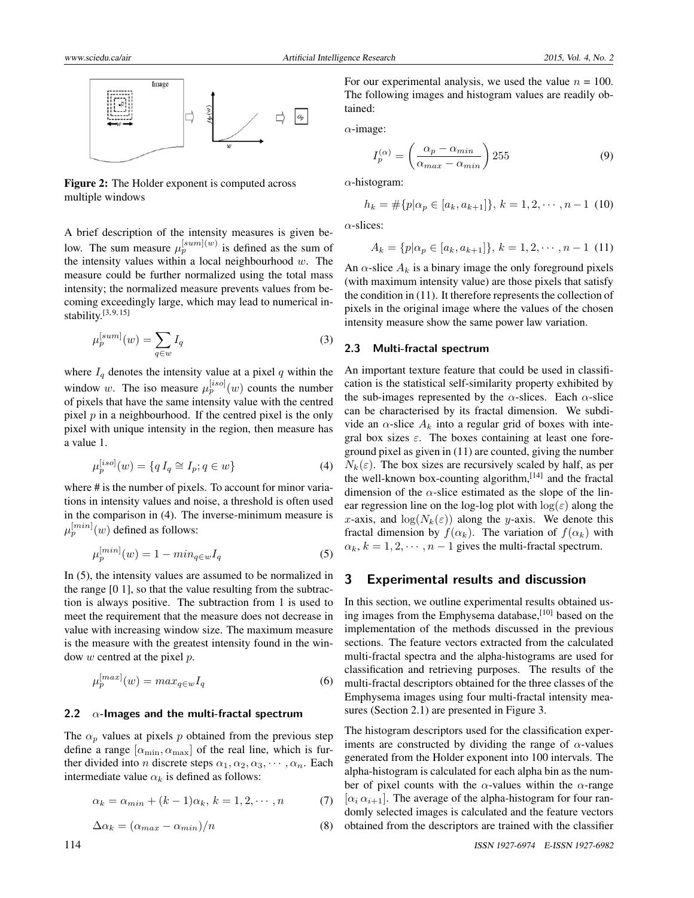

Figure 2: The Holder exponent is computed across multiple windows

A brief description of the intensity measures is given below. The sum measure  $\mu_p^{[sum](w)}$  is defined as the sum of the intensity values within a local neighbourhood *w*. The measure could be further normalized using the total mass intensity; the normalized measure prevents values from becoming exceedingly large, which may lead to numerical instability. $[3, 9, 15]$  $[3, 9, 15]$  $[3, 9, 15]$  $[3, 9, 15]$  $[3, 9, 15]$ 

$$
\mu_p^{[sum]}(w) = \sum_{q \in w} I_q \tag{3}
$$

where  $I_q$  denotes the intensity value at a pixel  $q$  within the window *w*. The iso measure  $\mu_p^{[iso]}(w)$  counts the number of pixels that have the same intensity value with the centred pixel *p* in a neighbourhood. If the centred pixel is the only pixel with unique intensity in the region, then measure has a value 1.

$$
\mu_p^{[iso]}(w) = \{qI_q \cong I_p; q \in w\}
$$
\n(4)

where # is the number of pixels. To account for minor variations in intensity values and noise, a threshold is often used in the comparison in (4). The inverse-minimum measure is  $\mu_p^{[min]}(w)$  defined as follows:

$$
\mu_p^{[min]}(w) = 1 - \min_{q \in w} I_q \tag{5}
$$

In (5), the intensity values are assumed to be normalized in the range [0 1], so that the value resulting from the subtraction is always positive. The subtraction from 1 is used to meet the requirement that the measure does not decrease in value with increasing window size. The maximum measure is the measure with the greatest intensity found in the window *w* centred at the pixel *p*.

$$
\mu_p^{[max]}(w) = max_{q \in w} I_q \tag{6}
$$

#### **2.2** *α***-Images and the multi-fractal spectrum**

The  $\alpha_p$  values at pixels p obtained from the previous step define a range  $[\alpha_{\min}, \alpha_{\max}]$  of the real line, which is further divided into *n* discrete steps  $\alpha_1, \alpha_2, \alpha_3, \cdots, \alpha_n$ . Each intermediate value  $\alpha_k$  is defined as follows:

$$
\alpha_k = \alpha_{min} + (k-1)\alpha_k, \, k = 1, 2, \cdots, n \tag{7}
$$

$$
\Delta \alpha_k = (\alpha_{max} - \alpha_{min})/n \tag{8}
$$

For our experimental analysis, we used the value  $n = 100$ . The following images and histogram values are readily obtained:

*α*-image:

$$
I_p^{(\alpha)} = \left(\frac{\alpha_p - \alpha_{min}}{\alpha_{max} - \alpha_{min}}\right) 255
$$
 (9)

*α*-histogram:

$$
h_k = \#\{p|\alpha_p \in [a_k, a_{k+1}]\}, k = 1, 2, \cdots, n-1 \tag{10}
$$

*α*-slices:

$$
A_k = \{p | \alpha_p \in [a_k, a_{k+1}]\}, k = 1, 2, \cdots, n-1 \tag{11}
$$

An  $\alpha$ -slice  $A_k$  is a binary image the only foreground pixels (with maximum intensity value) are those pixels that satisfy the condition in (11). It therefore represents the collection of pixels in the original image where the values of the chosen intensity measure show the same power law variation.

#### **2.3 Multi-fractal spectrum**

An important texture feature that could be used in classification is the statistical self-similarity property exhibited by the sub-images represented by the  $\alpha$ -slices. Each  $\alpha$ -slice can be characterised by its fractal dimension. We subdivide an  $\alpha$ -slice  $A_k$  into a regular grid of boxes with integral box sizes *ε*. The boxes containing at least one foreground pixel as given in (11) are counted, giving the number  $N_k(\varepsilon)$ . The box sizes are recursively scaled by half, as per the well-known box-counting algorithm,<sup>[\[14\]](#page-6-6)</sup> and the fractal dimension of the *α*-slice estimated as the slope of the linear regression line on the log-log plot with  $log(\varepsilon)$  along the *x*-axis, and  $\log(N_k(\varepsilon))$  along the *y*-axis. We denote this fractal dimension by  $f(\alpha_k)$ . The variation of  $f(\alpha_k)$  with  $\alpha_k$ ,  $k = 1, 2, \dots, n - 1$  gives the multi-fractal spectrum.

## **3 Experimental results and discussion**

In this section, we outline experimental results obtained us-ing images from the Emphysema database,<sup>[\[10\]](#page-6-2)</sup> based on the implementation of the methods discussed in the previous sections. The feature vectors extracted from the calculated multi-fractal spectra and the alpha-histograms are used for classification and retrieving purposes. The results of the multi-fractal descriptors obtained for the three classes of the Emphysema images using four multi-fractal intensity measures (Section 2.1) are presented in Figure 3.

The histogram descriptors used for the classification experiments are constructed by dividing the range of  $\alpha$ -values generated from the Holder exponent into 100 intervals. The alpha-histogram is calculated for each alpha bin as the number of pixel counts with the *α*-values within the *α*-range  $[\alpha_i \alpha_{i+1}]$ . The average of the alpha-histogram for four randomly selected images is calculated and the feature vectors obtained from the descriptors are trained with the classifier

[*max*]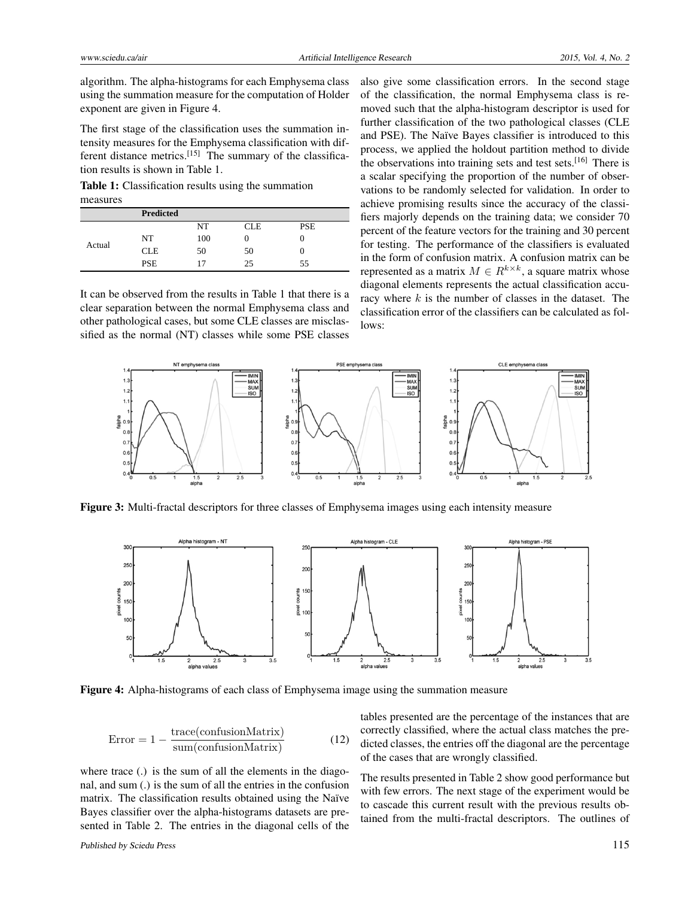algorithm. The alpha-histograms for each Emphysema class using the summation measure for the computation of Holder exponent are given in Figure 4.

The first stage of the classification uses the summation intensity measures for the Emphysema classification with dif-ferent distance metrics.<sup>[\[15\]](#page-6-7)</sup> The summary of the classification results is shown in Table 1.

Table 1: Classification results using the summation measures

|        | <b>Predicted</b> |     |            |            |
|--------|------------------|-----|------------|------------|
|        |                  | NT  | <b>CLE</b> | <b>PSE</b> |
| Actual | NT               | 100 | U          | 0          |
|        | <b>CLE</b>       | 50  | 50         | O          |
|        | <b>PSE</b>       |     | 25         | 55         |

It can be observed from the results in Table 1 that there is a clear separation between the normal Emphysema class and other pathological cases, but some CLE classes are misclassified as the normal (NT) classes while some PSE classes also give some classification errors. In the second stage of the classification, the normal Emphysema class is removed such that the alpha-histogram descriptor is used for further classification of the two pathological classes (CLE and PSE). The Naïve Bayes classifier is introduced to this process, we applied the holdout partition method to divide the observations into training sets and test sets.<sup>[\[16\]](#page-6-8)</sup> There is a scalar specifying the proportion of the number of observations to be randomly selected for validation. In order to achieve promising results since the accuracy of the classifiers majorly depends on the training data; we consider 70 percent of the feature vectors for the training and 30 percent for testing. The performance of the classifiers is evaluated in the form of confusion matrix. A confusion matrix can be represented as a matrix  $M \in R^{k \times k}$ , a square matrix whose diagonal elements represents the actual classification accuracy where *k* is the number of classes in the dataset. The classification error of the classifiers can be calculated as follows:



Figure 3: Multi-fractal descriptors for three classes of Emphysema images using each intensity measure



Figure 4: Alpha-histograms of each class of Emphysema image using the summation measure

$$
Error = 1 - \frac{trace(confusionMatrix)}{sum(confusionMatrix)}
$$
 (12)

where trace (.) is the sum of all the elements in the diagonal, and sum (.) is the sum of all the entries in the confusion matrix. The classification results obtained using the Naïve Bayes classifier over the alpha-histograms datasets are presented in Table 2. The entries in the diagonal cells of the

tables presented are the percentage of the instances that are correctly classified, where the actual class matches the predicted classes, the entries off the diagonal are the percentage of the cases that are wrongly classified.

The results presented in Table 2 show good performance but with few errors. The next stage of the experiment would be to cascade this current result with the previous results obtained from the multi-fractal descriptors. The outlines of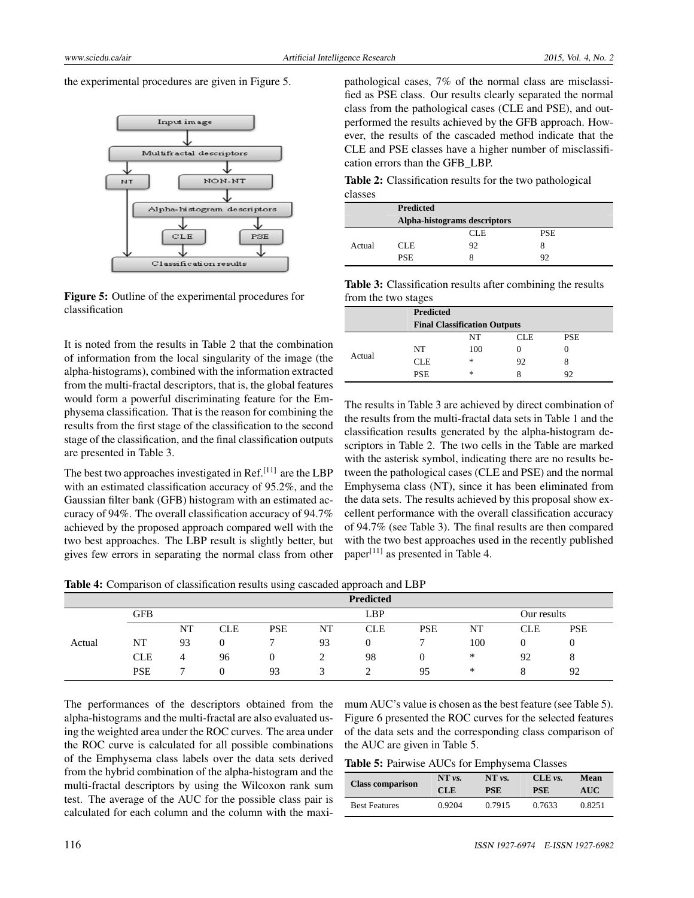the experimental procedures are given in Figure 5.



Figure 5: Outline of the experimental procedures for classification

It is noted from the results in Table 2 that the combination of information from the local singularity of the image (the alpha-histograms), combined with the information extracted from the multi-fractal descriptors, that is, the global features would form a powerful discriminating feature for the Emphysema classification. That is the reason for combining the results from the first stage of the classification to the second stage of the classification, and the final classification outputs are presented in Table 3.

The best two approaches investigated in Ref.<sup>[\[11\]](#page-6-3)</sup> are the LBP with an estimated classification accuracy of 95.2%, and the Gaussian filter bank (GFB) histogram with an estimated accuracy of 94%. The overall classification accuracy of 94.7% achieved by the proposed approach compared well with the two best approaches. The LBP result is slightly better, but gives few errors in separating the normal class from other pathological cases, 7% of the normal class are misclassified as PSE class. Our results clearly separated the normal class from the pathological cases (CLE and PSE), and outperformed the results achieved by the GFB approach. However, the results of the cascaded method indicate that the CLE and PSE classes have a higher number of misclassification errors than the GFB\_LBP.

Table 2: Classification results for the two pathological classes

|        | <b>Predicted</b>             |            |            |  |  |  |
|--------|------------------------------|------------|------------|--|--|--|
|        | Alpha-histograms descriptors |            |            |  |  |  |
|        |                              | <b>CLE</b> | <b>PSE</b> |  |  |  |
| Actual | <b>CLE</b>                   | 92         |            |  |  |  |
|        | <b>PSE</b>                   |            | 92         |  |  |  |

| <b>Table 3:</b> Classification results after combining the results |  |  |
|--------------------------------------------------------------------|--|--|
| from the two stages                                                |  |  |

|        | <b>Predicted</b> |                                     |              |            |
|--------|------------------|-------------------------------------|--------------|------------|
|        |                  | <b>Final Classification Outputs</b> |              |            |
|        |                  | NT                                  | CLE          | <b>PSE</b> |
| Actual | NT               | 100                                 | $\mathbf{0}$ |            |
|        | <b>CLE</b>       | $\ast$                              | 92           | 8          |
|        | <b>PSE</b>       | $*$                                 | x            | 92         |

The results in Table 3 are achieved by direct combination of the results from the multi-fractal data sets in Table 1 and the classification results generated by the alpha-histogram descriptors in Table 2. The two cells in the Table are marked with the asterisk symbol, indicating there are no results between the pathological cases (CLE and PSE) and the normal Emphysema class (NT), since it has been eliminated from the data sets. The results achieved by this proposal show excellent performance with the overall classification accuracy of 94.7% (see Table 3). The final results are then compared with the two best approaches used in the recently published paper<sup>[\[11\]](#page-6-3)</sup> as presented in Table 4.

Table 4: Comparison of classification results using cascaded approach and LBP

|        |            |    |            |            |    | <b>Predicted</b> |            |     |             |            |
|--------|------------|----|------------|------------|----|------------------|------------|-----|-------------|------------|
|        | <b>GFB</b> |    |            |            |    | <b>LBP</b>       |            |     | Our results |            |
|        |            | NT | <b>CLE</b> | <b>PSE</b> | NT | <b>CLE</b>       | <b>PSE</b> | NT  | <b>CLE</b>  | <b>PSE</b> |
| Actual | NT         | 93 |            |            | 93 |                  |            | 100 |             |            |
|        | <b>CLE</b> |    | 96         | O          |    | 98               |            | *   | 92          |            |
|        | <b>PSE</b> |    |            | 93         |    |                  | 95         | *   |             | 92         |

The performances of the descriptors obtained from the alpha-histograms and the multi-fractal are also evaluated using the weighted area under the ROC curves. The area under the ROC curve is calculated for all possible combinations of the Emphysema class labels over the data sets derived from the hybrid combination of the alpha-histogram and the multi-fractal descriptors by using the Wilcoxon rank sum test. The average of the AUC for the possible class pair is calculated for each column and the column with the maximum AUC's value is chosen as the best feature (see Table 5). Figure 6 presented the ROC curves for the selected features of the data sets and the corresponding class comparison of the AUC are given in Table 5.

Table 5: Pairwise AUCs for Emphysema Classes

| <b>Class comparison</b> | NT vs. | NT vs.     | CLE vs.    | Mean       |
|-------------------------|--------|------------|------------|------------|
|                         | CLE    | <b>PSE</b> | <b>PSE</b> | <b>AUC</b> |
| <b>Best Features</b>    | 0.9204 | 0.7915     | 0.7633     | 0.8251     |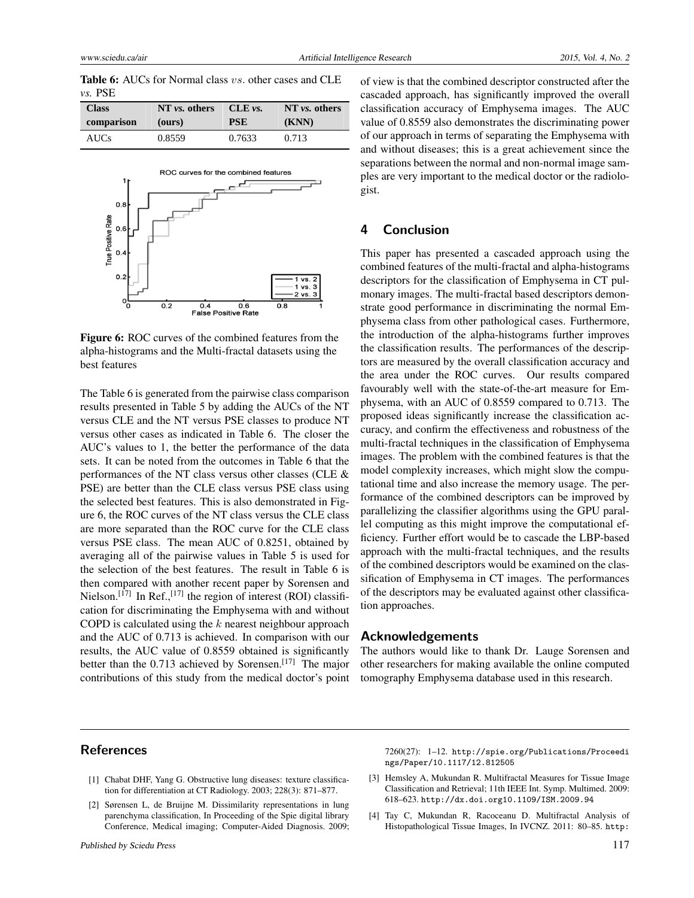www.sciedu.ca/air and the contract and the Artificial Intelligence Research 2015, Vol. 4, No. 2

|           | <b>Table 6:</b> AUCs for Normal class vs. other cases and CLE |  |  |  |  |
|-----------|---------------------------------------------------------------|--|--|--|--|
| $vs.$ PSE |                                                               |  |  |  |  |

| <b>Class</b> | NT vs. others | CLE vs.    | NT vs. others |
|--------------|---------------|------------|---------------|
| comparison   | (ours)        | <b>PSE</b> | (KNN)         |
| <b>AUCs</b>  | 0.8559        | 0.7633     | 0.713         |



Figure 6: ROC curves of the combined features from the alpha-histograms and the Multi-fractal datasets using the best features

The Table 6 is generated from the pairwise class comparison results presented in Table 5 by adding the AUCs of the NT versus CLE and the NT versus PSE classes to produce NT versus other cases as indicated in Table 6. The closer the AUC's values to 1, the better the performance of the data sets. It can be noted from the outcomes in Table 6 that the performances of the NT class versus other classes (CLE & PSE) are better than the CLE class versus PSE class using the selected best features. This is also demonstrated in Figure 6, the ROC curves of the NT class versus the CLE class are more separated than the ROC curve for the CLE class versus PSE class. The mean AUC of 0.8251, obtained by averaging all of the pairwise values in Table 5 is used for the selection of the best features. The result in Table 6 is then compared with another recent paper by Sorensen and Nielson.<sup>[\[17\]](#page-6-9)</sup> In Ref.,<sup>[17]</sup> the region of interest (ROI) classification for discriminating the Emphysema with and without COPD is calculated using the *k* nearest neighbour approach and the AUC of 0.713 is achieved. In comparison with our results, the AUC value of 0.8559 obtained is significantly better than the 0.713 achieved by Sorensen.<sup>[\[17\]](#page-6-9)</sup> The major contributions of this study from the medical doctor's point of view is that the combined descriptor constructed after the cascaded approach, has significantly improved the overall classification accuracy of Emphysema images. The AUC value of 0.8559 also demonstrates the discriminating power of our approach in terms of separating the Emphysema with and without diseases; this is a great achievement since the separations between the normal and non-normal image samples are very important to the medical doctor or the radiologist.

## **4 Conclusion**

This paper has presented a cascaded approach using the combined features of the multi-fractal and alpha-histograms descriptors for the classification of Emphysema in CT pulmonary images. The multi-fractal based descriptors demonstrate good performance in discriminating the normal Emphysema class from other pathological cases. Furthermore, the introduction of the alpha-histograms further improves the classification results. The performances of the descriptors are measured by the overall classification accuracy and the area under the ROC curves. Our results compared favourably well with the state-of-the-art measure for Emphysema, with an AUC of 0.8559 compared to 0.713. The proposed ideas significantly increase the classification accuracy, and confirm the effectiveness and robustness of the multi-fractal techniques in the classification of Emphysema images. The problem with the combined features is that the model complexity increases, which might slow the computational time and also increase the memory usage. The performance of the combined descriptors can be improved by parallelizing the classifier algorithms using the GPU parallel computing as this might improve the computational efficiency. Further effort would be to cascade the LBP-based approach with the multi-fractal techniques, and the results of the combined descriptors would be examined on the classification of Emphysema in CT images. The performances of the descriptors may be evaluated against other classification approaches.

### **Acknowledgements**

The authors would like to thank Dr. Lauge Sorensen and other researchers for making available the online computed tomography Emphysema database used in this research.

## **References**

- <span id="page-5-0"></span>[1] Chabat DHF, Yang G. Obstructive lung diseases: texture classification for differentiation at CT Radiology. 2003; 228(3): 871–877.
- <span id="page-5-1"></span>[2] Sørensen L, de Bruijne M. Dissimilarity representations in lung parenchyma classification, In Proceeding of the Spie digital library Conference, Medical imaging; Computer-Aided Diagnosis. 2009;

7260(27): 1–12. [http://spie.org/Publications/Proceedi](http://spie.org/Publications/Proceedings/Paper/10.1117/12.812505) [ngs/Paper/10.1117/12.812505](http://spie.org/Publications/Proceedings/Paper/10.1117/12.812505)

- <span id="page-5-2"></span>[3] Hemsley A, Mukundan R. Multifractal Measures for Tissue Image Classification and Retrieval; 11th IEEE Int. Symp. Multimed. 2009: 618–623. [http://dx.doi.org10.1109/ISM.2009.94](http://dx.doi.org 10.1109/ISM.2009.94)
- <span id="page-5-3"></span>[4] Tay C, Mukundan R, Racoceanu D. Multifractal Analysis of Histopathological Tissue Images, In IVCNZ. 2011: 80–85. [http:](http://hdl.handle.net/10092/6247)